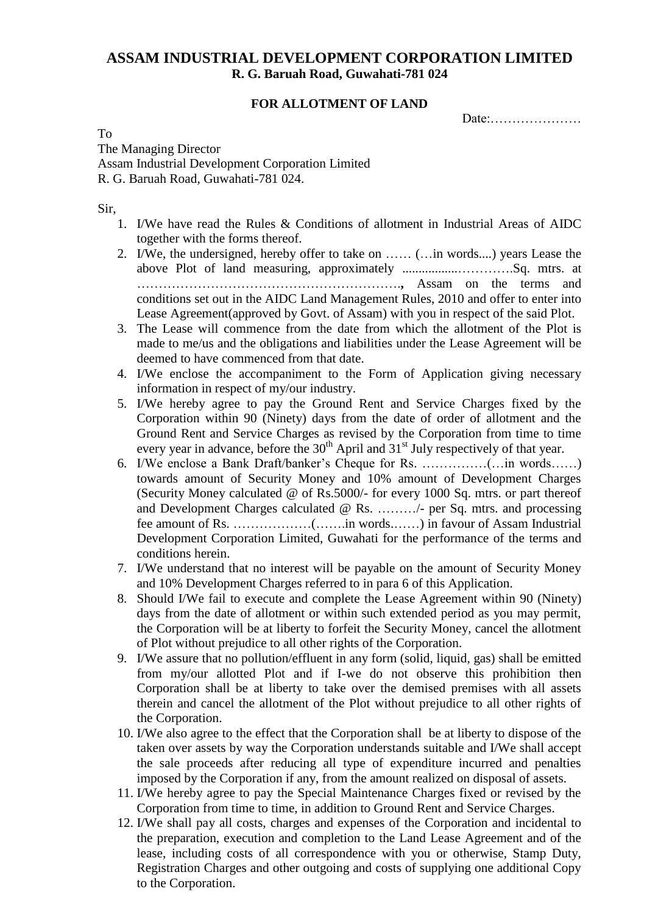## **ASSAM INDUSTRIAL DEVELOPMENT CORPORATION LIMITED R. G. Baruah Road, Guwahati-781 024**

## **FOR ALLOTMENT OF LAND**

Date:

To The Managing Director Assam Industrial Development Corporation Limited R. G. Baruah Road, Guwahati-781 024.

Sir,

- 1. I/We have read the Rules & Conditions of allotment in Industrial Areas of AIDC together with the forms thereof.
- 2. I/We, the undersigned, hereby offer to take on …… (…in words....) years Lease the above Plot of land measuring, approximately .................………….Sq. mtrs. at …………………………………………………….**,** Assam on the terms and conditions set out in the AIDC Land Management Rules, 2010 and offer to enter into Lease Agreement(approved by Govt. of Assam) with you in respect of the said Plot.
- 3. The Lease will commence from the date from which the allotment of the Plot is made to me/us and the obligations and liabilities under the Lease Agreement will be deemed to have commenced from that date.
- 4. I/We enclose the accompaniment to the Form of Application giving necessary information in respect of my/our industry.
- 5. I/We hereby agree to pay the Ground Rent and Service Charges fixed by the Corporation within 90 (Ninety) days from the date of order of allotment and the Ground Rent and Service Charges as revised by the Corporation from time to time every year in advance, before the  $30<sup>th</sup>$  April and  $31<sup>st</sup>$  July respectively of that year.
- 6. I/We enclose a Bank Draft/banker's Cheque for Rs. ……………(…in words……) towards amount of Security Money and 10% amount of Development Charges (Security Money calculated @ of Rs.5000/- for every 1000 Sq. mtrs. or part thereof and Development Charges calculated @ Rs. ………/- per Sq. mtrs. and processing fee amount of Rs. ………………(…….in words.……) in favour of Assam Industrial Development Corporation Limited, Guwahati for the performance of the terms and conditions herein.
- 7. I/We understand that no interest will be payable on the amount of Security Money and 10% Development Charges referred to in para 6 of this Application.
- 8. Should I/We fail to execute and complete the Lease Agreement within 90 (Ninety) days from the date of allotment or within such extended period as you may permit, the Corporation will be at liberty to forfeit the Security Money, cancel the allotment of Plot without prejudice to all other rights of the Corporation.
- 9. I/We assure that no pollution/effluent in any form (solid, liquid, gas) shall be emitted from my/our allotted Plot and if I-we do not observe this prohibition then Corporation shall be at liberty to take over the demised premises with all assets therein and cancel the allotment of the Plot without prejudice to all other rights of the Corporation.
- 10. I/We also agree to the effect that the Corporation shall be at liberty to dispose of the taken over assets by way the Corporation understands suitable and I/We shall accept the sale proceeds after reducing all type of expenditure incurred and penalties imposed by the Corporation if any, from the amount realized on disposal of assets.
- 11. I/We hereby agree to pay the Special Maintenance Charges fixed or revised by the Corporation from time to time, in addition to Ground Rent and Service Charges.
- 12. I/We shall pay all costs, charges and expenses of the Corporation and incidental to the preparation, execution and completion to the Land Lease Agreement and of the lease, including costs of all correspondence with you or otherwise, Stamp Duty, Registration Charges and other outgoing and costs of supplying one additional Copy to the Corporation.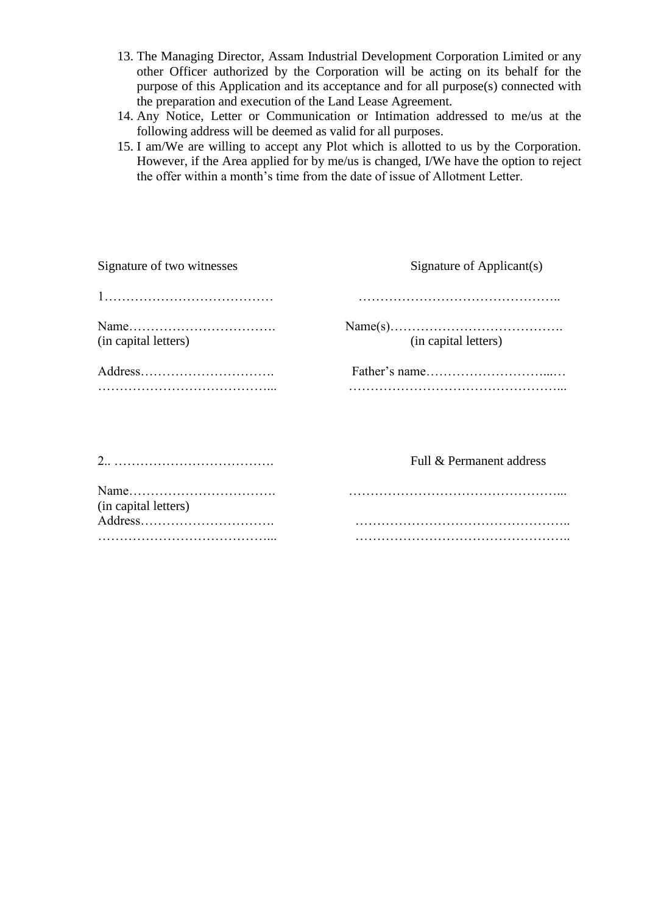- 13. The Managing Director, Assam Industrial Development Corporation Limited or any other Officer authorized by the Corporation will be acting on its behalf for the purpose of this Application and its acceptance and for all purpose(s) connected with the preparation and execution of the Land Lease Agreement.
- 14. Any Notice, Letter or Communication or Intimation addressed to me/us at the following address will be deemed as valid for all purposes.
- 15. I am/We are willing to accept any Plot which is allotted to us by the Corporation. However, if the Area applied for by me/us is changed, I/We have the option to reject the offer within a month's time from the date of issue of Allotment Letter.

| Signature of two witnesses | Signature of Applicant(s) |  |
|----------------------------|---------------------------|--|
|                            |                           |  |
| (in capital letters)       | (in capital letters)      |  |
| Address                    |                           |  |
|                            | Full & Permanent address  |  |
| (in capital letters)       |                           |  |
| Address                    |                           |  |
|                            |                           |  |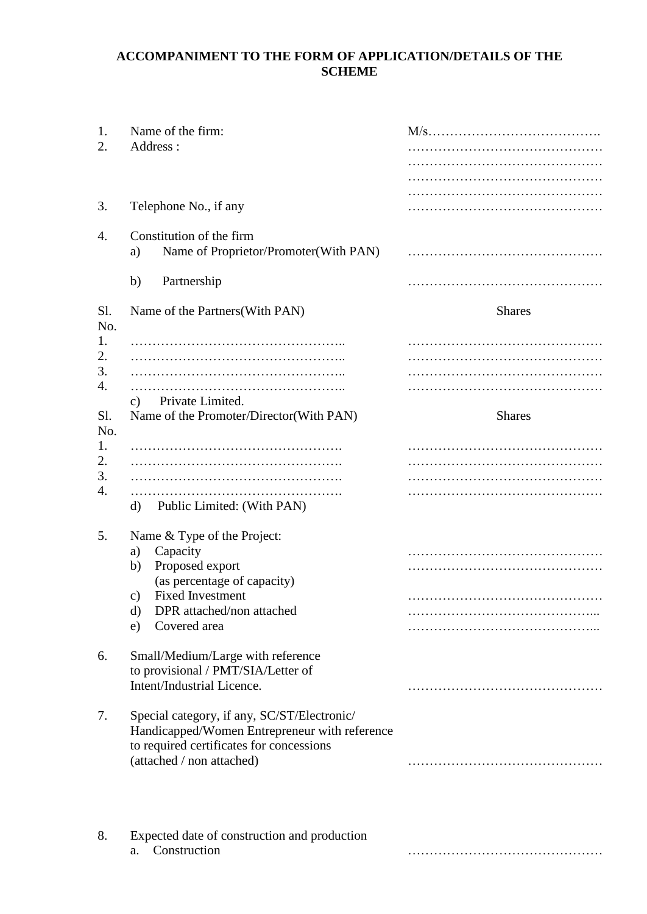## **ACCOMPANIMENT TO THE FORM OF APPLICATION/DETAILS OF THE SCHEME**

| 1.<br>2.                           | Name of the firm:<br>Address:                                                                                                                                                                   |               |
|------------------------------------|-------------------------------------------------------------------------------------------------------------------------------------------------------------------------------------------------|---------------|
| 3.                                 | Telephone No., if any                                                                                                                                                                           |               |
| 4.                                 | Constitution of the firm<br>Name of Proprietor/Promoter(With PAN)<br>a)                                                                                                                         |               |
|                                    | b)<br>Partnership                                                                                                                                                                               |               |
| Sl.<br>No.                         | Name of the Partners (With PAN)                                                                                                                                                                 | <b>Shares</b> |
| 1.<br>2.<br>3.<br>4.<br>Sl.<br>No. | Private Limited.<br>c)<br>Name of the Promoter/Director(With PAN)                                                                                                                               | <b>Shares</b> |
| 1.<br>2.<br>3.<br>4.               | Public Limited: (With PAN)<br>d)                                                                                                                                                                |               |
| 5.                                 | Name & Type of the Project:<br>Capacity<br>a)<br>Proposed export<br>b)<br>(as percentage of capacity)<br><b>Fixed Investment</b><br>c)<br>d)<br>DPR attached/non attached<br>Covered area<br>e) |               |
| 6.                                 | Small/Medium/Large with reference<br>to provisional / PMT/SIA/Letter of<br>Intent/Industrial Licence.                                                                                           |               |
| 7.                                 | Special category, if any, SC/ST/Electronic/<br>Handicapped/Women Entrepreneur with reference<br>to required certificates for concessions<br>(attached / non attached)                           |               |
| 8.                                 | Expected date of construction and production<br>Construction<br>a.                                                                                                                              |               |